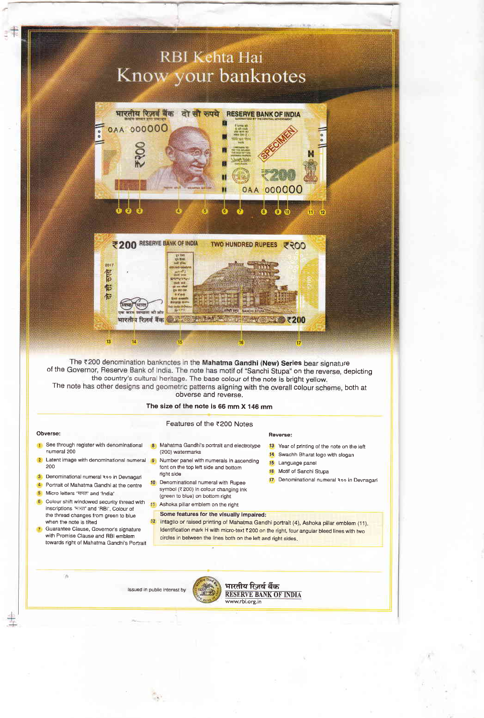# RBI Kehta Hai Know your banknotes





The ₹200 denomination banknotes in the Mahatma Gandhi (New) Series bear signature of the Governor, Reserve Bank of India. The note has motif of "Sanchi Stupa" on the reverse, depicting<br>the country's cultural heritage. The base colour of the note is bright yellow. The note has other designs and geometric patterns aligning with the overall colour scheme, both at obverse and reverse.

## The size of the note is 66 mm X 146 mm

### Features of the ₹200 Notes

## Obverse:

- See through register with denominational numeral 200
- Latent image with denominational numeral 9 200
- 3 Denominational numeral Roo in Devnagar
- 4 Portrait of Mahatma Gandhi at the centre
- <mark>5</mark> Micro letters 'मारत' and 'India

a

- 6 Colour shift windowed security thread with inscriptions 'भारत' and 'RBI', Colour of the thread changes from green to blue when the note is tilted
- Guarantee Clause, Governor's signature with Promise Clause and RBI emblem towards right of Mahatma Gandhi's Portrait
- 8 Mahatma Gandhi's portrait and electrotype (200) watermarks
- Number panel with numerals in ascending font on the top left side and bottom right side
- 10 Denominational numeral with Rupee symbol (₹200) in colour changing ink (green to blue) on bottom right
- 11 Ashoka pillar emblem on the right
	- Some features for the visually impaired: Intaglio or raised printing of Mahatma Gandhi portrait (4), Ashoka pillar emblem (11).

Identification mark H with micro-text ₹ 200 on the right, four angular bleed lines with two circles in between the lines both on the left and right sides

Reverse:

15 Language panel 16 Motif of Sanchi Stupa

13 Year of printing of the note on the left 14 Swachh Bharat logo with slogan

17 Denominational numeral Roo in Devnagari





भारतीय रिज़र्व बैंक RESERVE BANK OF INDIA www.rbi.org.in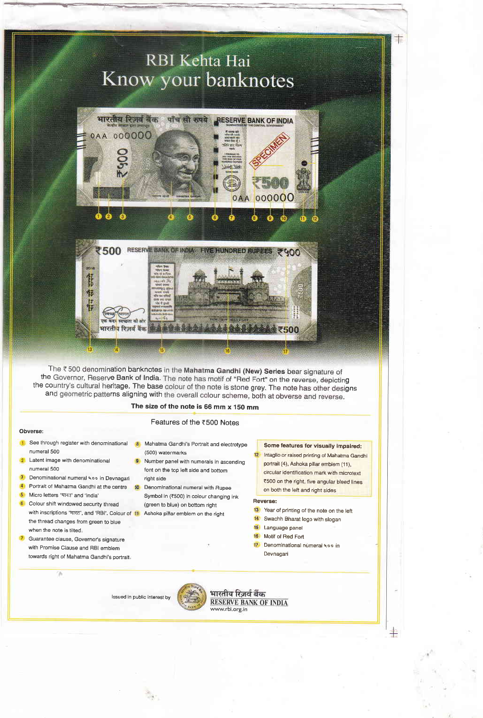

The ₹500 denomination banknotes in the Mahatma Gandhi (New) Series bear signature of the Governor, Reserve Bank of India. The note has motif of "Red Fort" on the reverse, depicting the country's cultural heritage. The base colour of the note is stone grey. The note has other designs and geometric patterns aligning with the overall colour scheme, both at obverse and reverse.

## The size of the note is 66 mm x 150 mm

## Features of the <500 Notes

### Obverse:

- **1** See through register with denominational numeral 500
- Latent image with denominational numeral 500
- 3 Denominational numeral koo in Devnagar
- 
- 5 Micro letters 'भारत' and 'India

 $\overline{\phantom{a}}$ 

- 6 Colour shift windowed security thread with inscriptions 'मारत', and 'RBI'. Colour of 11 Ashoka pillar emblem on the right the thread changes from green to blue when the note is tilted
- **7** Guarantee clause, Governor's signature with Promise Clause and RBI emblem towards right of Mahatma Gandhi's portrait.
- <sup>8</sup> Mahatma Gandhi's Portrait and electrotype (500) watermarks
- **9** Number panel with numerals in ascending font on the top left side and bottom right side
- 4 Portrait of Mahatma Gandhi at the centre 10 Denominational numeral with Rupee Symbol in (₹500) in colour changing ink (green to blue) on bottom right
	-

### Some features for visually impaired:

12 Intaglio or raised printing of Mahatma Gandhi portrail (4), Ashoka pillar emblem (11), circular identification mark with microtext ₹500 on the right, five angular bleed lines on both the left and right sides

≇

### Reverse:

- 13 Year of printing of the note on the left
- 14 Swachh Bharat logo with slogan
- l5 Language panel
- 15 Motif of Red Fort
- 17 Denominational numeral 400 in Devnagari

lssued in public interest by

भारतीय रिजर्व बैंक **RESERVE BANK OF INDIA** www.rbi.org.in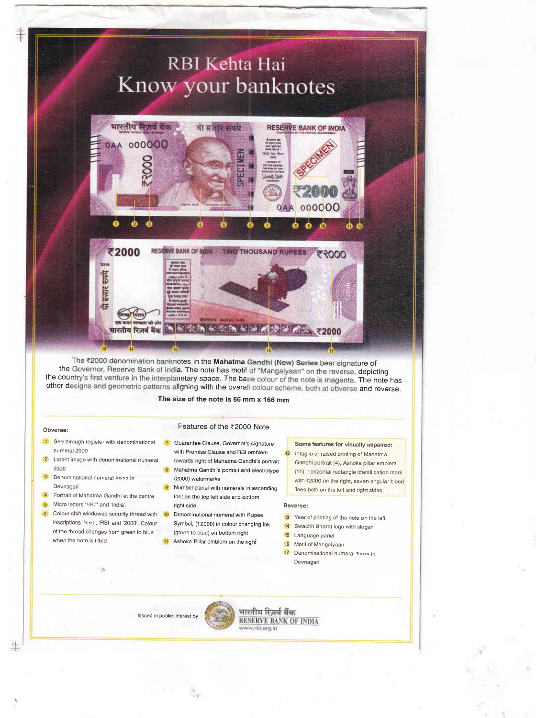# **RBI Kehta Hai** Know your banknotes



The ₹2000 denomination banknotes in the Mahatma Gandhi (New) Series bear signature of the Governor, Reserve Bank of India. The note has motif of "Mangalyaan" on the reverse, depicting the country's first venture in the interplanetary space. The base colour of the note is magenta. The note has other designs and geometric patterns aligning with the overall colour scheme, both at obverse and reverse.

### The size of the note is 56 mm x 166 mm

### Obversei

- 1 See through register with denominational numeral 2000
- **2** Latent image with denominational numeral 2000
- 3 Denominational numeral Rooo in Devnagari
- <sup>4</sup> Portrait of Mahatma Gandhi at the centre
- 5: Micro letters "मारत" and 'India'.
- 6 Colour shift windowed security thread with 10 Denominational numeral with Rupee inscriptions 'भारत', 'RBI' and '2000', Colour of the thread changes from green to blue when the note is tilted
- Features of the <2000 Note **7** Guarantee Clause, Governor's signature with Promise Clause and RBI emblem
- towards right of Mahatma Gandhi's portrait Mahatma Gandhi's portrait and electrotype
- (2000) watermarks
- Number panel with numerals in ascending font on the top left side and bottom right side
	- Symbol, (₹2000) in colour changing ink (green to blue) on bottom right
	- **I** Ashoka Pillar emblem on the right

## Some features for visually impaired: 12 Intaglio or raised printing of Mahatma Gandhi portrait (4), Ashoka piilar emblem (11), horizontal rectangle identification mark with ₹2000 on the right, seven angular bleed lines both on the left and right sides

#### Heverse:

- 13 Year of printing of the note on the left
- 14 Swachh Bharat logo with slogan
- 15 Language panel
- 16 Motif of Mangalyaan
- 17 Denominational numeral Rooo in Devnagari

lssued in public interest by



भारतीय रिज़र्व बैंक RESERVE BANK OF INDIA www.rbi.org.in